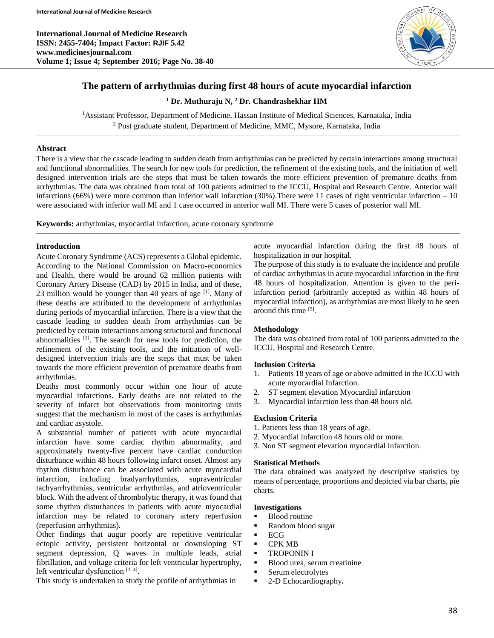**International Journal of Medicine Research ISSN: 2455-7404; Impact Factor: RJIF 5.42 www.medicinesjournal.com Volume 1; Issue 4; September 2016; Page No. 38-40**



# **The pattern of arrhythmias during first 48 hours of acute myocardial infarction**

**<sup>1</sup> Dr. Muthuraju N, <sup>2</sup> Dr. Chandrashekhar HM**

<sup>1</sup> Assistant Professor, Department of Medicine, Hassan Institute of Medical Sciences, Karnataka, India <sup>2</sup> Post graduate student, Department of Medicine, MMC, Mysore, Karnataka, India

### **Abstract**

There is a view that the cascade leading to sudden death from arrhythmias can be predicted by certain interactions among structural and functional abnormalities. The search for new tools for prediction, the refinement of the existing tools, and the initiation of well designed intervention trials are the steps that must be taken towards the more efficient prevention of premature deaths from arrhythmias. The data was obtained from total of 100 patients admitted to the ICCU, Hospital and Research Centre. Anterior wall infarctions (66%) were more common than inferior wall infarction (30%).There were 11 cases of right ventricular infarction – 10 were associated with inferior wall MI and 1 case occurred in anterior wall MI. There were 5 cases of posterior wall MI.

**Keywords:** arrhythmias, myocardial infarction, acute coronary syndrome

### **Introduction**

Acute Coronary Syndrome (ACS) represents a Global epidemic. According to the National Commission on Macro-economics and Health, there would be around 62 million patients with Coronary Artery Disease (CAD) by 2015 in India, and of these, 23 million would be younger than 40 years of age  $[1]$ . Many of these deaths are attributed to the development of arrhythmias during periods of myocardial infarction. There is a view that the cascade leading to sudden death from arrhythmias can be predicted by certain interactions among structural and functional abnormalities <sup>[2]</sup>. The search for new tools for prediction, the refinement of the existing tools, and the initiation of welldesigned intervention trials are the steps that must be taken towards the more efficient prevention of premature deaths from arrhythmias.

Deaths most commonly occur within one hour of acute myocardial infarctions. Early deaths are not related to the severity of infarct but observations from monitoring units suggest that the mechanism in most of the cases is arrhythmias and cardiac asystole.

A substantial number of patients with acute myocardial infarction have some cardiac rhythm abnormality, and approximately twenty-five percent have cardiac conduction disturbance within 48 hours following infarct onset. Almost any rhythm disturbance can be associated with acute myocardial infarction, including bradyarrhythmias, supraventricular tachyarrhythmias, ventricular arrhythmias, and atrioventricular block. With the advent of thrombolytic therapy, it was found that some rhythm disturbances in patients with acute myocardial infarction may be related to coronary artery reperfusion (reperfusion arrhythmias).

Other findings that augur poorly are repetitive ventricular ectopic activity, persistent horizontal or downsloping ST segment depression, Q waves in multiple leads, atrial fibrillation, and voltage criteria for left ventricular hypertrophy, left ventricular dysfunction  $[3, 4]$ .

This study is undertaken to study the profile of arrhythmias in

acute myocardial infarction during the first 48 hours of hospitalization in our hospital.

The purpose of this study is to evaluate the incidence and profile of cardiac arrhythmias in acute myocardial infarction in the first 48 hours of hospitalization. Attention is given to the periinfarction period (arbitrarily accepted as within 48 hours of myocardial infarction), as arrhythmias are most likely to be seen around this time [5].

### **Methodology**

The data was obtained from total of 100 patients admitted to the ICCU, Hospital and Research Centre.

#### **Inclusion Criteria**

- 1. Patients 18 years of age or above admitted in the ICCU with acute myocardial Infarction.
- 2. ST segment elevation Myocardial infarction
- 3. Myocardial infarction less than 48 hours old.

#### **Exclusion Criteria**

- 1. Patients less than 18 years of age.
- 2. Myocardial infarction 48 hours old or more.
- 3. Non ST segment elevation myocardial infarction.

#### **Statistical Methods**

The data obtained was analyzed by descriptive statistics by means of percentage, proportions and depicted via bar charts, pie charts.

#### **Investigations**

- Blood routine
- Random blood sugar
- $ECG$
- CPK MB
- **TROPONIN I**
- Blood urea, serum creatinine
- **Serum electrolytes**
- 2-D Echocardiography**.**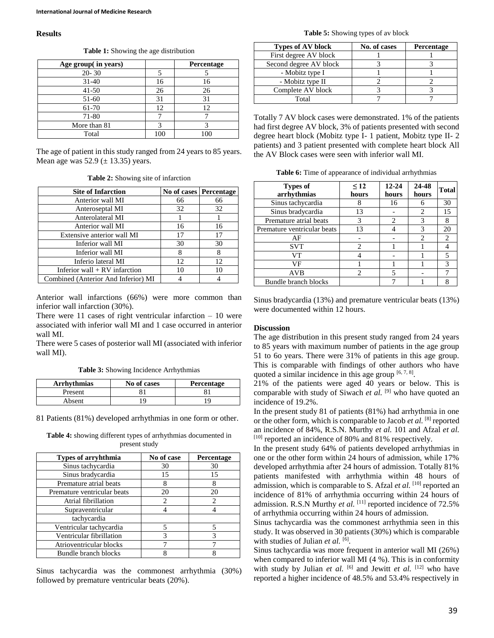#### **Results**

**Table 1:** Showing the age distribution

| Age group( in years) |     | Percentage |
|----------------------|-----|------------|
| $20 - 30$            |     |            |
| $31 - 40$            | 16  | 16         |
| $41 - 50$            | 26  | 26         |
| 51-60                | 31  | 31         |
| 61-70                | 12  | 12         |
| 71-80                |     |            |
| More than 81         |     |            |
| Total                | 100 |            |

The age of patient in this study ranged from 24 years to 85 years. Mean age was  $52.9 \ (\pm 13.35)$  years.

**Table 2:** Showing site of infarction

| <b>Site of Infarction</b>           |    | No of cases   Percentage |
|-------------------------------------|----|--------------------------|
| Anterior wall MI                    | 66 | 66                       |
| Anteroseptal MI                     | 32 | 32                       |
| Anterolateral MI                    |    |                          |
| Anterior wall MI                    | 16 | 16                       |
| Extensive anterior wall MI          | 17 | 17                       |
| Inferior wall MI                    | 30 | 30                       |
| Inferior wall MI                    | 8  | 8                        |
| Inferio lateral MI                  | 12 | 12                       |
| Inferior wall $+ RV$ infarction     | 10 | 10                       |
| Combined (Anterior And Inferior) MI |    |                          |

Anterior wall infarctions (66%) were more common than inferior wall infarction (30%).

There were  $11$  cases of right ventricular infarction  $-10$  were associated with inferior wall MI and 1 case occurred in anterior wall MI.

There were 5 cases of posterior wall MI (associated with inferior wall MI).

**Table 3:** Showing Incidence Arrhythmias

| <b>Arrhythmias</b> | No of cases | <b>Percentage</b> |
|--------------------|-------------|-------------------|
| Present            |             |                   |
| Absent             |             |                   |

81 Patients (81%) developed arrhythmias in one form or other.

| <b>Table 4:</b> showing different types of arrhythmias documented in |  |  |
|----------------------------------------------------------------------|--|--|
| present study                                                        |  |  |

| Types of arryhthmia         | No of case | Percentage |
|-----------------------------|------------|------------|
| Sinus tachycardia           | 30         | 30         |
| Sinus bradycardia           | 15         | 15         |
| Premature atrial beats      |            |            |
| Premature ventricular beats | 20         | 20         |
| Atrial fibrillation         | 2          |            |
| Supraventricular            |            |            |
| tachycardia                 |            |            |
| Ventricular tachycardia     | 5          |            |
| Ventricular fibrillation    | 3          | 3          |
| Atrioventricular blocks     |            |            |
| Bundle branch blocks        |            |            |

Sinus tachycardia was the commonest arrhythmia (30%) followed by premature ventricular beats (20%).

**Table 5:** Showing types of av block

| <b>Types of AV block</b> | No. of cases | <b>Percentage</b> |  |
|--------------------------|--------------|-------------------|--|
| First degree AV block    |              |                   |  |
| Second degree AV block   |              |                   |  |
| - Mobitz type I          |              |                   |  |
| - Mobitz type II         |              |                   |  |
| Complete AV block        |              |                   |  |
| Total                    |              |                   |  |

Totally 7 AV block cases were demonstrated. 1% of the patients had first degree AV block, 3% of patients presented with second degree heart block (Mobitz type I- 1 patient, Mobitz type II- 2 patients) and 3 patient presented with complete heart block All the AV Block cases were seen with inferior wall MI.

**Table 6:** Time of appearance of individual arrhythmias

| <b>Types of</b><br>arrhythmias | $\leq 12$<br>hours | $12 - 24$<br>hours                                                                                                                                              | 24-48<br>hours              | <b>Total</b> |
|--------------------------------|--------------------|-----------------------------------------------------------------------------------------------------------------------------------------------------------------|-----------------------------|--------------|
| Sinus tachycardia              | 8                  | 16                                                                                                                                                              | 6                           | 30           |
| Sinus bradycardia              | 13                 |                                                                                                                                                                 | 2                           | 15           |
| Premature atrial beats         | 3                  | $\mathcal{D}_{\mathcal{A}}^{\mathcal{A}}(\mathcal{A})=\mathcal{D}_{\mathcal{A}}^{\mathcal{A}}(\mathcal{A})\mathcal{D}_{\mathcal{A}}^{\mathcal{A}}(\mathcal{A})$ | 3                           | 8            |
| Premature ventricular beats    | 13                 |                                                                                                                                                                 | 3                           | 20           |
| AF                             |                    |                                                                                                                                                                 | $\mathcal{D}_{\mathcal{A}}$ | 2            |
| <b>SVT</b>                     | $\mathfrak{D}$     |                                                                                                                                                                 |                             |              |
| VT                             |                    |                                                                                                                                                                 |                             | 5            |
| VF                             |                    |                                                                                                                                                                 |                             | 3            |
| AVB                            | $\overline{c}$     | 5                                                                                                                                                               |                             |              |
| Bundle branch blocks           |                    |                                                                                                                                                                 |                             |              |

Sinus bradycardia (13%) and premature ventricular beats (13%) were documented within 12 hours.

#### **Discussion**

The age distribution in this present study ranged from 24 years to 85 years with maximum number of patients in the age group 51 to 6o years. There were 31% of patients in this age group. This is comparable with findings of other authors who have quoted a similar incidence in this age group  $[6, 7, 8]$ .

21% of the patients were aged 40 years or below. This is comparable with study of Siwach *et al.* [9] who have quoted an incidence of 19.2%.

In the present study 81 of patients (81%) had arrhythmia in one or the other form, which is comparable to Jacob *et al.* [8] reported an incidence of 84%, R.S.N. Murthy *et al.* 101 and Afzal *et al.* [10] reported an incidence of 80% and 81% respectively.

In the present study 64% of patients developed arrhythmias in one or the other form within 24 hours of admission, while 17% developed arrhythmia after 24 hours of admission. Totally 81% patients manifested with arrhythmia within 48 hours of admission, which is comparable to S. Afzal *et al.* [10] reported an incidence of 81% of arrhythmia occurring within 24 hours of admission. R.S.N Murthy *et al.* [11] reported incidence of 72.5% of arrhythmia occurring within 24 hours of admission.

Sinus tachycardia was the commonest arrhythmia seen in this study. It was observed in 30 patients (30%) which is comparable with studies of Julian et al. [6].

Sinus tachycardia was more frequent in anterior wall MI (26%) when compared to inferior wall MI (4 %). This is in conformity with study by Julian *et al.*  $[6]$  and Jewitt *et al.*  $[12]$  who have reported a higher incidence of 48.5% and 53.4% respectively in